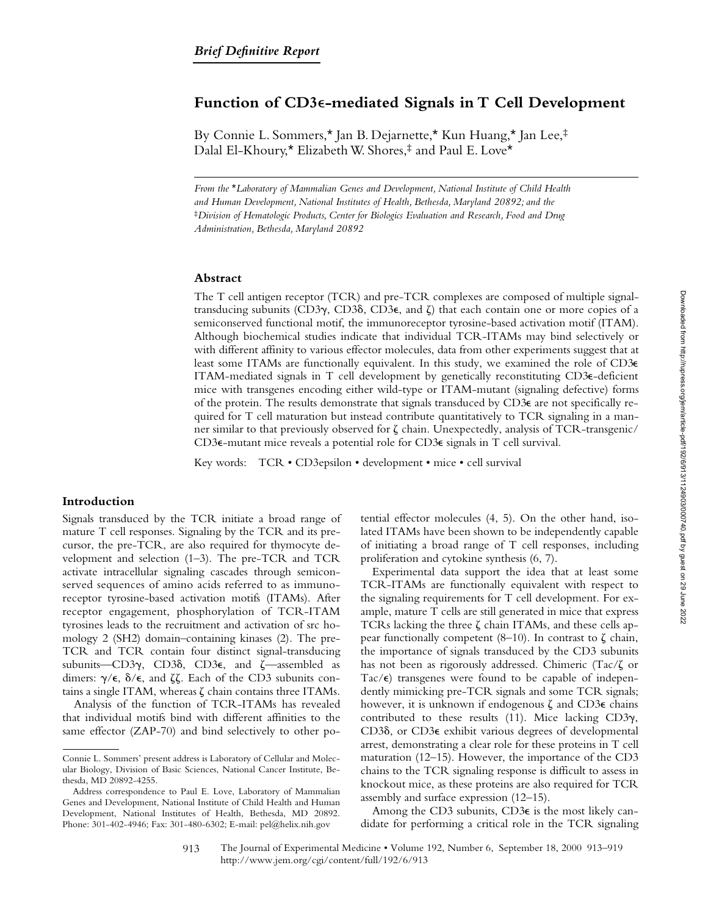# **Function of CD3**e**-mediated Signals in T Cell Development**

By Connie L. Sommers,\* Jan B. Dejarnette,\* Kun Huang,\* Jan Lee,‡ Dalal El-Khoury,\* Elizabeth W. Shores,‡ and Paul E. Love\*

*From the* \**Laboratory of Mammalian Genes and Development, National Institute of Child Health and Human Development, National Institutes of Health, Bethesda, Maryland 20892; and the*  ‡*Division of Hematologic Products, Center for Biologics Evaluation and Research, Food and Drug Administration, Bethesda, Maryland 20892*

# **Abstract**

The T cell antigen receptor (TCR) and pre-TCR complexes are composed of multiple signaltransducing subunits (CD3 $\gamma$ , CD3 $\delta$ , CD3 $\epsilon$ , and  $\zeta$ ) that each contain one or more copies of a semiconserved functional motif, the immunoreceptor tyrosine-based activation motif (ITAM). Although biochemical studies indicate that individual TCR-ITAMs may bind selectively or with different affinity to various effector molecules, data from other experiments suggest that at least some ITAMs are functionally equivalent. In this study, we examined the role of CD3e ITAM-mediated signals in T cell development by genetically reconstituting CD3e-deficient mice with transgenes encoding either wild-type or ITAM-mutant (signaling defective) forms of the protein. The results demonstrate that signals transduced by CD3e are not specifically required for T cell maturation but instead contribute quantitatively to TCR signaling in a manner similar to that previously observed for  $\zeta$  chain. Unexpectedly, analysis of TCR-transgenic/ CD3e-mutant mice reveals a potential role for CD3e signals in T cell survival.

Key words: TCR • CD3epsilon • development • mice • cell survival

## **Introduction**

Signals transduced by the TCR initiate a broad range of mature T cell responses. Signaling by the TCR and its precursor, the pre-TCR, are also required for thymocyte development and selection (1–3). The pre-TCR and TCR activate intracellular signaling cascades through semiconserved sequences of amino acids referred to as immunoreceptor tyrosine-based activation motifs (ITAMs). After receptor engagement, phosphorylation of TCR-ITAM tyrosines leads to the recruitment and activation of src homology 2 (SH2) domain–containing kinases (2). The pre-TCR and TCR contain four distinct signal-transducing subunits—CD3 $\gamma$ , CD3 $\delta$ , CD3 $\epsilon$ , and  $\zeta$ —assembled as dimers:  $\gamma/\epsilon$ ,  $\delta/\epsilon$ , and  $\zeta\zeta$ . Each of the CD3 subunits contains a single ITAM, whereas  $\zeta$  chain contains three ITAMs.

Analysis of the function of TCR-ITAMs has revealed that individual motifs bind with different affinities to the same effector (ZAP-70) and bind selectively to other potential effector molecules (4, 5). On the other hand, isolated ITAMs have been shown to be independently capable of initiating a broad range of T cell responses, including proliferation and cytokine synthesis (6, 7).

Experimental data support the idea that at least some TCR-ITAMs are functionally equivalent with respect to the signaling requirements for T cell development. For example, mature T cells are still generated in mice that express TCRs lacking the three  $\zeta$  chain ITAMs, and these cells appear functionally competent  $(8-10)$ . In contrast to  $\zeta$  chain, the importance of signals transduced by the CD3 subunits has not been as rigorously addressed. Chimeric (Tac/ $\zeta$  or Tac $\epsilon$ ) transgenes were found to be capable of independently mimicking pre-TCR signals and some TCR signals; however, it is unknown if endogenous  $\zeta$  and CD3 $\epsilon$  chains contributed to these results (11). Mice lacking  $CD3\gamma$ , CD3d, or CD3e exhibit various degrees of developmental arrest, demonstrating a clear role for these proteins in T cell maturation (12–15). However, the importance of the CD3 chains to the TCR signaling response is difficult to assess in knockout mice, as these proteins are also required for TCR assembly and surface expression (12–15).

Among the CD3 subunits, CD3e is the most likely candidate for performing a critical role in the TCR signaling

Connie L. Sommers' present address is Laboratory of Cellular and Molecular Biology, Division of Basic Sciences, National Cancer Institute, Bethesda, MD 20892-4255.

Address correspondence to Paul E. Love, Laboratory of Mammalian Genes and Development, National Institute of Child Health and Human Development, National Institutes of Health, Bethesda, MD 20892. Phone: 301-402-4946; Fax: 301-480-6302; E-mail: pel@helix.nih.gov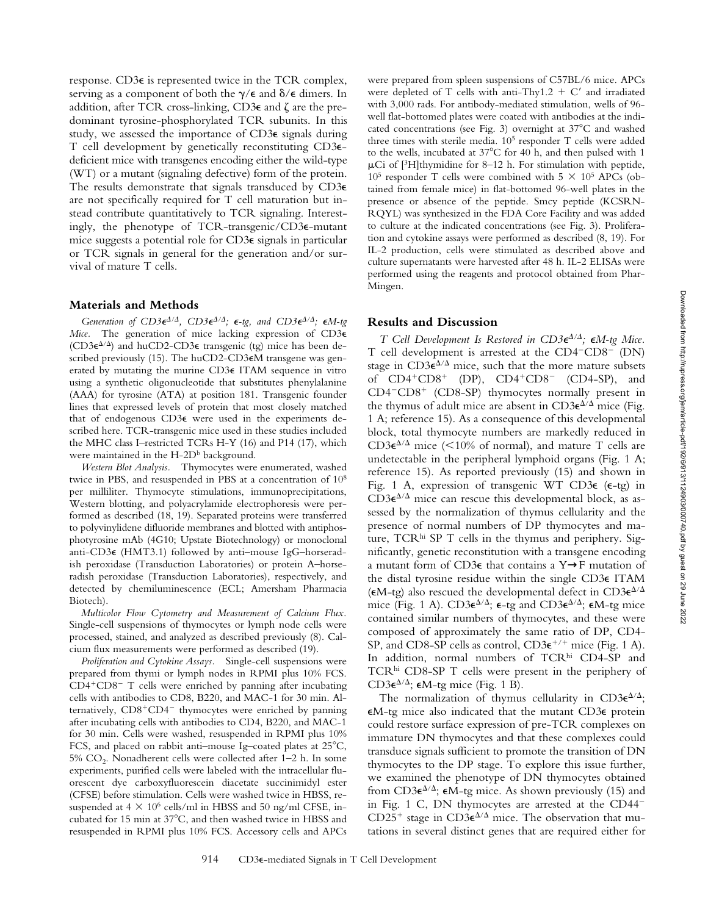response. CD3e is represented twice in the TCR complex, serving as a component of both the  $\gamma/\epsilon$  and  $\delta/\epsilon$  dimers. In addition, after TCR cross-linking, CD3 $\epsilon$  and  $\zeta$  are the predominant tyrosine-phosphorylated TCR subunits. In this study, we assessed the importance of CD3e signals during T cell development by genetically reconstituting CD3edeficient mice with transgenes encoding either the wild-type (WT) or a mutant (signaling defective) form of the protein. The results demonstrate that signals transduced by CD3e are not specifically required for T cell maturation but instead contribute quantitatively to TCR signaling. Interestingly, the phenotype of TCR-transgenic/CD3e-mutant mice suggests a potential role for CD3e signals in particular or TCR signals in general for the generation and/or survival of mature T cells.

#### **Materials and Methods**

*Generation of CD3* $\epsilon^{A/A}$ *, CD3* $\epsilon^{A/A}$ *;*  $\epsilon$ *-tg, and CD3* $\epsilon^{A/A}$ *;*  $\epsilon M$ *-tg Mice.* The generation of mice lacking expression of CD3e (CD3 $\varepsilon^{\Delta/\Delta}$ ) and huCD2-CD3 $\varepsilon$  transgenic (tg) mice has been described previously (15). The huCD2-CD3€M transgene was generated by mutating the murine CD3e ITAM sequence in vitro using a synthetic oligonucleotide that substitutes phenylalanine (AAA) for tyrosine (ATA) at position 181. Transgenic founder lines that expressed levels of protein that most closely matched that of endogenous CD3e were used in the experiments described here. TCR-transgenic mice used in these studies included the MHC class I–restricted TCRs H-Y (16) and P14 (17), which were maintained in the H-2D<sup>b</sup> background.

*Western Blot Analysis.* Thymocytes were enumerated, washed twice in PBS, and resuspended in PBS at a concentration of 108 per milliliter. Thymocyte stimulations, immunoprecipitations, Western blotting, and polyacrylamide electrophoresis were performed as described (18, 19). Separated proteins were transferred to polyvinylidene difluoride membranes and blotted with antiphosphotyrosine mAb (4G10; Upstate Biotechnology) or monoclonal anti-CD3e (HMT3.1) followed by anti–mouse IgG–horseradish peroxidase (Transduction Laboratories) or protein A–horseradish peroxidase (Transduction Laboratories), respectively, and detected by chemiluminescence (ECL; Amersham Pharmacia Biotech).

*Multicolor Flow Cytometry and Measurement of Calcium Flux.* Single-cell suspensions of thymocytes or lymph node cells were processed, stained, and analyzed as described previously (8). Calcium flux measurements were performed as described (19).

*Proliferation and Cytokine Assays.* Single-cell suspensions were prepared from thymi or lymph nodes in RPMI plus 10% FCS.  $CD4+CD8-$  T cells were enriched by panning after incubating cells with antibodies to CD8, B220, and MAC-1 for 30 min. Alternatively,  $CD8+CD4^-$  thymocytes were enriched by panning after incubating cells with antibodies to CD4, B220, and MAC-1 for 30 min. Cells were washed, resuspended in RPMI plus 10% FCS, and placed on rabbit anti-mouse Ig-coated plates at  $25^{\circ}$ C,  $5\%$  CO<sub>2</sub>. Nonadherent cells were collected after 1–2 h. In some experiments, purified cells were labeled with the intracellular fluorescent dye carboxyfluorescein diacetate succinimidyl ester (CFSE) before stimulation. Cells were washed twice in HBSS, resuspended at  $4 \times 10^6$  cells/ml in HBSS and 50 ng/ml CFSE, incubated for 15 min at 37°C, and then washed twice in HBSS and resuspended in RPMI plus 10% FCS. Accessory cells and APCs

were prepared from spleen suspensions of C57BL/6 mice. APCs were depleted of T cells with anti-Thy1.2 + C' and irradiated with 3,000 rads. For antibody-mediated stimulation, wells of 96 well flat-bottomed plates were coated with antibodies at the indicated concentrations (see Fig. 3) overnight at  $37^{\circ}$ C and washed three times with sterile media. 105 responder T cells were added to the wells, incubated at 37°C for 40 h, and then pulsed with 1  $\mu$ Ci of [<sup>3</sup>H]thymidine for 8–12 h. For stimulation with peptide,  $10^5$  responder T cells were combined with  $5 \times 10^5$  APCs (obtained from female mice) in flat-bottomed 96-well plates in the presence or absence of the peptide. Smcy peptide (KCSRN-RQYL) was synthesized in the FDA Core Facility and was added to culture at the indicated concentrations (see Fig. 3). Proliferation and cytokine assays were performed as described (8, 19). For IL-2 production, cells were stimulated as described above and culture supernatants were harvested after 48 h. IL-2 ELISAs were performed using the reagents and protocol obtained from Phar-Mingen.

### **Results and Discussion**

*T* Cell Development Is Restored in  $CD3\epsilon^{A/A}$ ;  $\epsilon M$ -tg Mice. T cell development is arrested at the  $CD4$ <sup>- $CD8$ </sub><sup>-</sup> (DN)</sup> stage in  $CD3\varepsilon^{\Delta/\Delta}$  mice, such that the more mature subsets of  $CD4+CD8+$   $(DP)$ ,  $CD4+CD8 (CD4-SP)$ , and CD4<sup>-</sup>CD8<sup>+</sup> (CD8-SP) thymocytes normally present in the thymus of adult mice are absent in  $CD3\varepsilon^{\Delta/\Delta}$  mice (Fig. 1 A; reference 15). As a consequence of this developmental block, total thymocyte numbers are markedly reduced in  $CD3\varepsilon^{\Delta/\Delta}$  mice (<10% of normal), and mature T cells are undetectable in the peripheral lymphoid organs (Fig. 1 A; reference 15). As reported previously (15) and shown in Fig. 1 A, expression of transgenic WT CD3 $\epsilon$  ( $\epsilon$ -tg) in  $CD3\varepsilon^{\Delta/\Delta}$  mice can rescue this developmental block, as assessed by the normalization of thymus cellularity and the presence of normal numbers of DP thymocytes and mature,  $TCR<sup>hi</sup>$  SP T cells in the thymus and periphery. Significantly, genetic reconstitution with a transgene encoding a mutant form of CD3e that contains a Y→F mutation of the distal tyrosine residue within the single CD3e ITAM ( $\epsilon$ M-tg) also rescued the developmental defect in CD3 $\epsilon^{\Delta/\Delta}$ mice (Fig. 1 A).  $CD3\varepsilon^{\Delta/\Delta}$ ;  $\varepsilon$ -tg and  $CD3\varepsilon^{\Delta/\Delta}$ ;  $\varepsilon$ M-tg mice contained similar numbers of thymocytes, and these were composed of approximately the same ratio of DP, CD4- SP, and CD8-SP cells as control,  $CD3\varepsilon^{+/+}$  mice (Fig. 1 A). In addition, normal numbers of TCRhi CD4-SP and TCRhi CD8-SP T cells were present in the periphery of CD3 $\epsilon^{\Delta/\Delta}$ ;  $\epsilon$ M-tg mice (Fig. 1 B).

The normalization of thymus cellularity in CD3 $\epsilon^{\Delta/\Delta}$ ; eM-tg mice also indicated that the mutant CD3e protein could restore surface expression of pre-TCR complexes on immature DN thymocytes and that these complexes could transduce signals sufficient to promote the transition of DN thymocytes to the DP stage. To explore this issue further, we examined the phenotype of DN thymocytes obtained from CD3 $\epsilon^{\Delta/\Delta}$ ;  $\epsilon$ M-tg mice. As shown previously (15) and in Fig. 1 C, DN thymocytes are arrested at the  $CD44<sup>-</sup>$ CD25<sup>+</sup> stage in CD3 $\epsilon^{\Delta/\Delta}$  mice. The observation that mutations in several distinct genes that are required either for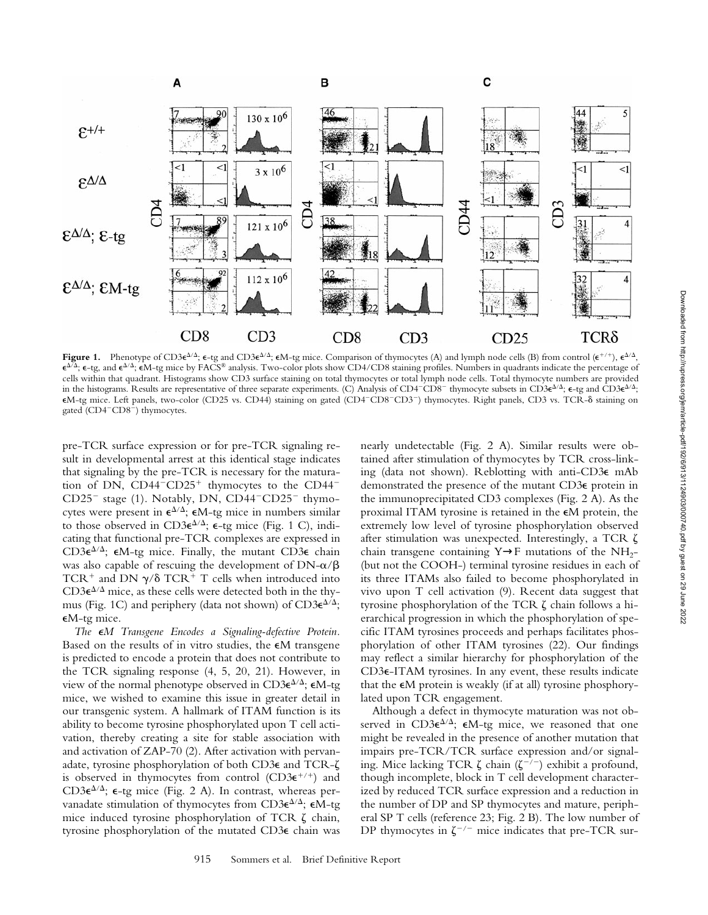

**Figure 1.** Phenotype of CD3 $\epsilon^{\Delta/\Delta}$ ;  $\epsilon$ -tg and CD3 $\epsilon^{\Delta/\Delta}$ ;  $\epsilon$ M-tg mice. Comparison of thymocytes (A) and lymph node cells (B) from control  $(\epsilon^{+/-})$ ,  $\epsilon^{\Delta/\Delta}$ ,  $\epsilon^{\Delta/\Delta}$ ;  $\epsilon$ -tg, and  $\epsilon^{\Delta/\Delta}$ ;  $\epsilon$ M-tg mice by FACS® analysis. Two-color plots show CD4/CD8 staining profiles. Numbers in quadrants indicate the percentage of cells within that quadrant. Histograms show CD3 surface staining on total thymocytes or total lymph node cells. Total thymocyte numbers are provided in the histograms. Results are representative of three separate experiments. (C) Analysis of CD4<sup>-</sup>CD8<sup>-</sup> thymocyte subsets in CD3 $\epsilon^{\Delta/\Delta}$ ;  $\epsilon$ -tg and CD3 $\epsilon^{\Delta/\Delta}$ ; eM-tg mice. Left panels, two-color (CD25 vs. CD44) staining on gated (CD4<sup>2</sup>CD8<sup>2</sup>CD3<sup>2</sup>) thymocytes. Right panels, CD3 vs. TCR-d staining on gated (CD4<sup>-</sup>CD8<sup>-</sup>) thymocytes.

pre-TCR surface expression or for pre-TCR signaling result in developmental arrest at this identical stage indicates that signaling by the pre-TCR is necessary for the maturation of DN,  $CD44$ <sup>- $CD25$ <sup>+</sup> thymocytes to the  $CD44$ <sup>-</sup></sup>  $CD25^-$  stage (1). Notably, DN,  $CD44^-CD25^-$  thymocytes were present in  $\epsilon^{\Delta/\Delta}$ ;  $\epsilon M$ -tg mice in numbers similar to those observed in  $CD3\varepsilon^{\Delta/\Delta}$ ;  $\varepsilon$ -tg mice (Fig. 1 C), indicating that functional pre-TCR complexes are expressed in CD3 $\varepsilon^{\Delta/\Delta}$ ;  $\varepsilon$ M-tg mice. Finally, the mutant CD3 $\varepsilon$  chain was also capable of rescuing the development of  $DN-\alpha/\beta$ TCR<sup>+</sup> and DN  $\gamma/\delta$  TCR<sup>+</sup> T cells when introduced into  $CD3\varepsilon^{\Delta/\Delta}$  mice, as these cells were detected both in the thymus (Fig. 1C) and periphery (data not shown) of  $CD3\varepsilon^{4/4}$ ; eM-tg mice.

*The* e*M Transgene Encodes a Signaling-defective Protein.* Based on the results of in vitro studies, the  $\epsilon$ M transgene is predicted to encode a protein that does not contribute to the TCR signaling response (4, 5, 20, 21). However, in view of the normal phenotype observed in CD3 $\epsilon^{\Delta/\Delta}$ ;  $\epsilon M$ -tg mice, we wished to examine this issue in greater detail in our transgenic system. A hallmark of ITAM function is its ability to become tyrosine phosphorylated upon T cell activation, thereby creating a site for stable association with and activation of ZAP-70 (2). After activation with pervanadate, tyrosine phosphorylation of both CD3 $\epsilon$  and TCR- $\zeta$ is observed in thymocytes from control  $(CD3\varepsilon^{+/+})$  and CD3 $\epsilon^{\Delta/\Delta}$ ;  $\epsilon$ -tg mice (Fig. 2 A). In contrast, whereas pervanadate stimulation of thymocytes from CD3 $\varepsilon^{\Delta/\Delta}$ ;  $\varepsilon M$ -tg mice induced tyrosine phosphorylation of TCR  $\zeta$  chain, tyrosine phosphorylation of the mutated CD3e chain was

nearly undetectable (Fig. 2 A). Similar results were obtained after stimulation of thymocytes by TCR cross-linking (data not shown). Reblotting with anti-CD3e mAb demonstrated the presence of the mutant CD3e protein in the immunoprecipitated CD3 complexes (Fig. 2 A). As the proximal ITAM tyrosine is retained in the  $\epsilon$ M protein, the extremely low level of tyrosine phosphorylation observed after stimulation was unexpected. Interestingly, a TCR  $\zeta$ chain transgene containing  $Y \rightarrow F$  mutations of the NH<sub>2</sub>-(but not the COOH-) terminal tyrosine residues in each of its three ITAMs also failed to become phosphorylated in vivo upon T cell activation (9). Recent data suggest that tyrosine phosphorylation of the TCR  $\zeta$  chain follows a hierarchical progression in which the phosphorylation of specific ITAM tyrosines proceeds and perhaps facilitates phosphorylation of other ITAM tyrosines (22). Our findings may reflect a similar hierarchy for phosphorylation of the CD3e-ITAM tyrosines. In any event, these results indicate that the  $\epsilon M$  protein is weakly (if at all) tyrosine phosphorylated upon TCR engagement.

Although a defect in thymocyte maturation was not observed in  $CD3\varepsilon^{\Delta/\Delta}$ ;  $\varepsilon M$ -tg mice, we reasoned that one might be revealed in the presence of another mutation that impairs pre-TCR/TCR surface expression and/or signaling. Mice lacking TCR  $\zeta$  chain  $(\zeta^{-7})$  exhibit a profound, though incomplete, block in T cell development characterized by reduced TCR surface expression and a reduction in the number of DP and SP thymocytes and mature, peripheral SP T cells (reference 23; Fig. 2 B). The low number of DP thymocytes in  $\zeta^{-/-}$  mice indicates that pre-TCR sur-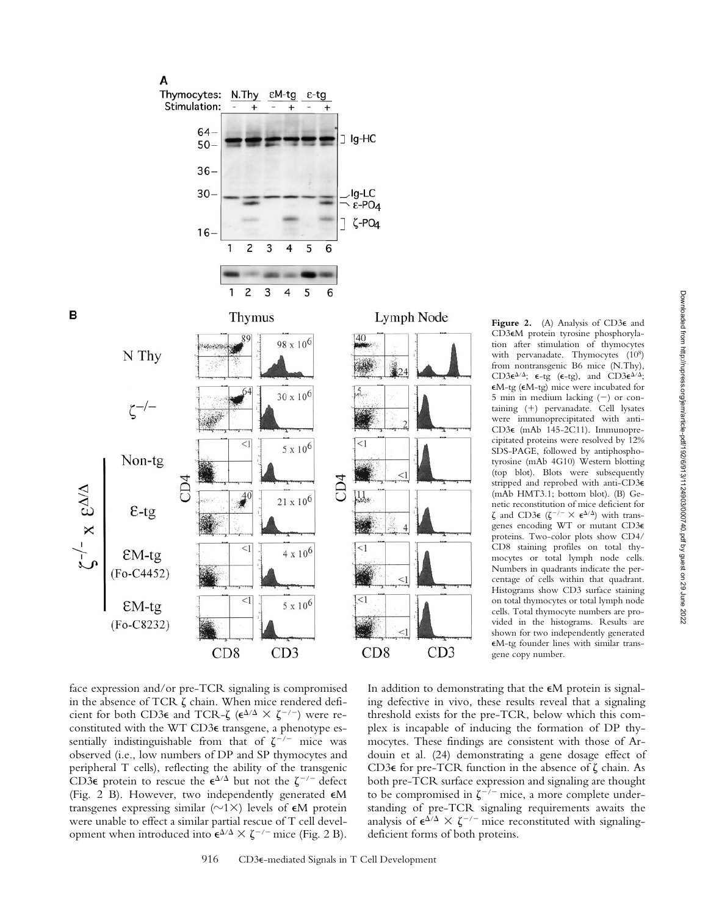



tion after stimulation of thymocytes with pervanadate. Thymocytes (108) from nontransgenic B6 mice (N.Thy), CD3 $\epsilon^{\Delta/\Delta}$ ;  $\epsilon$ -tg ( $\epsilon$ -tg), and CD3 $\epsilon^{\Delta/\Delta}$ ; eM-tg (eM-tg) mice were incubated for 5 min in medium lacking (2) or containing (1) pervanadate. Cell lysates were immunoprecipitated with anti-CD3e (mAb 145-2C11). Immunoprecipitated proteins were resolved by 12% SDS-PAGE, followed by antiphosphotyrosine (mAb 4G10) Western blotting (top blot). Blots were subsequently stripped and reprobed with anti-CD3e (mAb HMT3.1; bottom blot). (B) Genetic reconstitution of mice deficient for  $\zeta$  and CD3 $\epsilon$  ( $\zeta^{-/-} \times \epsilon^{\Delta/\Delta}$ ) with transgenes encoding WT or mutant CD3e proteins. Two-color plots show CD4/ CD8 staining profiles on total thymocytes or total lymph node cells. Numbers in quadrants indicate the percentage of cells within that quadrant. Histograms show CD3 surface staining on total thymocytes or total lymph node cells. Total thymocyte numbers are provided in the histograms. Results are shown for two independently generated eM-tg founder lines with similar transgene copy number.

**Figure 2.** (A) Analysis of CD3e and CD3eM protein tyrosine phosphoryla-

face expression and/or pre-TCR signaling is compromised in the absence of TCR  $\zeta$  chain. When mice rendered deficient for both CD3 $\epsilon$  and TCR- $\zeta$  ( $\epsilon^{\Delta/\Delta} \times \zeta^{-/-}$ ) were reconstituted with the WT CD3e transgene, a phenotype essentially indistinguishable from that of  $\zeta^{-/-}$  mice was observed (i.e., low numbers of DP and SP thymocytes and peripheral T cells), reflecting the ability of the transgenic CD3 $\epsilon$  protein to rescue the  $\epsilon^{\Delta/\Delta}$  but not the  $\zeta^{-/-}$  defect (Fig. 2 B). However, two independently generated eM transgenes expressing similar  $(\sim 1 \times)$  levels of  $\epsilon M$  protein were unable to effect a similar partial rescue of T cell development when introduced into  $\epsilon^{\Delta/\Delta} \times \zeta^{-/-}$  mice (Fig. 2 B).

In addition to demonstrating that the  $\epsilon M$  protein is signaling defective in vivo, these results reveal that a signaling threshold exists for the pre-TCR, below which this complex is incapable of inducing the formation of DP thymocytes. These findings are consistent with those of Ardouin et al. (24) demonstrating a gene dosage effect of CD3 $\epsilon$  for pre-TCR function in the absence of  $\zeta$  chain. As both pre-TCR surface expression and signaling are thought to be compromised in  $\zeta^{-7}$  mice, a more complete understanding of pre-TCR signaling requirements awaits the analysis of  $\epsilon^{\Delta/\Delta} \times \zeta^{-/-}$  mice reconstituted with signalingdeficient forms of both proteins.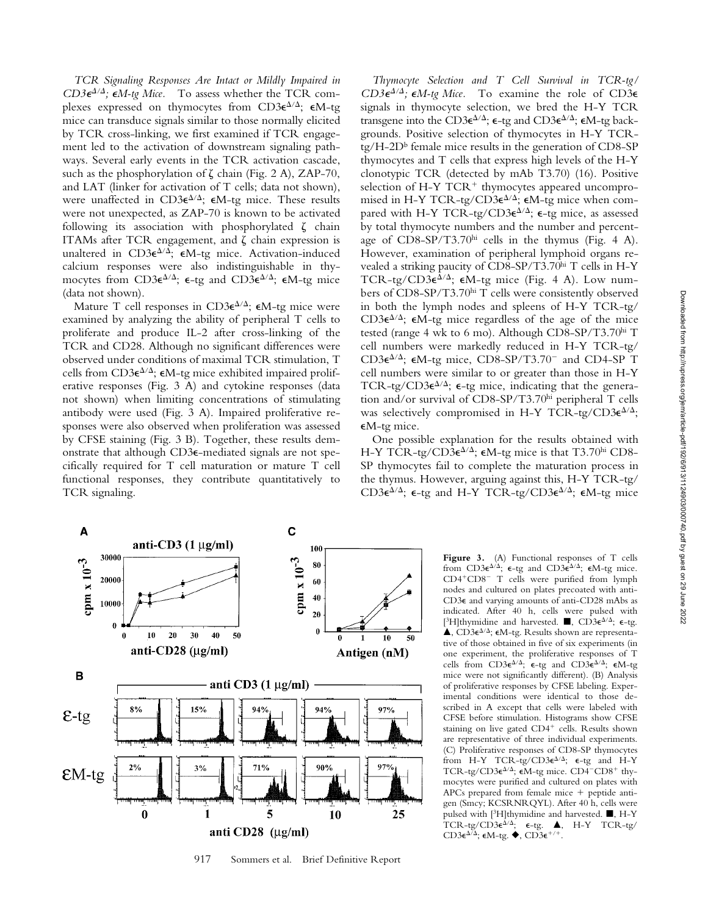*TCR Signaling Responses Are Intact or Mildly Impaired in*  $CD3\epsilon^{4/4}$ ;  $\epsilon M$ -tg Mice. To assess whether the TCR complexes expressed on thymocytes from  $CD3\varepsilon^{\Delta/\Delta}$ ;  $\varepsilon M$ -tg mice can transduce signals similar to those normally elicited by TCR cross-linking, we first examined if TCR engagement led to the activation of downstream signaling pathways. Several early events in the TCR activation cascade, such as the phosphorylation of  $\zeta$  chain (Fig. 2 A), ZAP-70, and LAT (linker for activation of T cells; data not shown), were unaffected in  $CD3\varepsilon^{\Delta/\Delta}$ ;  $\varepsilon M$ -tg mice. These results were not unexpected, as ZAP-70 is known to be activated following its association with phosphorylated  $\zeta$  chain ITAMs after TCR engagement, and  $\zeta$  chain expression is unaltered in CD3 $\epsilon^{\Delta/\Delta}$ ;  $\epsilon M$ -tg mice. Activation-induced calcium responses were also indistinguishable in thymocytes from CD3 $\epsilon^{\Delta/\Delta}$ ;  $\epsilon$ -tg and CD3 $\epsilon^{\Delta/\Delta}$ ;  $\epsilon$ M-tg mice (data not shown).

Mature T cell responses in  $CD3\varepsilon^{\Delta/\Delta}$ ;  $\varepsilon M$ -tg mice were examined by analyzing the ability of peripheral T cells to proliferate and produce IL-2 after cross-linking of the TCR and CD28. Although no significant differences were observed under conditions of maximal TCR stimulation, T cells from CD3 $\epsilon^{\Delta/\Delta}$ ;  $\epsilon$ M-tg mice exhibited impaired proliferative responses (Fig. 3 A) and cytokine responses (data not shown) when limiting concentrations of stimulating antibody were used (Fig. 3 A). Impaired proliferative responses were also observed when proliferation was assessed by CFSE staining (Fig. 3 B). Together, these results demonstrate that although CD3e-mediated signals are not specifically required for T cell maturation or mature T cell functional responses, they contribute quantitatively to TCR signaling.

*Thymocyte Selection and T Cell Survival in TCR-tg/*  $CD3\epsilon^{A/A}$ ;  $\epsilon M$ -tg Mice. To examine the role of CD3 $\epsilon$ signals in thymocyte selection, we bred the H-Y TCR transgene into the CD3 $\varepsilon^{\Delta/\Delta}$ ;  $\varepsilon$ -tg and CD3 $\varepsilon^{\Delta/\Delta}$ ;  $\varepsilon$ M-tg backgrounds. Positive selection of thymocytes in H-Y TCR $tg/H$ -2D<sup>b</sup> female mice results in the generation of CD8-SP thymocytes and T cells that express high levels of the H-Y clonotypic TCR (detected by mAb T3.70) (16). Positive selection of H-Y  $TCR^+$  thymocytes appeared uncompromised in H-Y TCR-tg/CD3 $\epsilon^{A/A}$ ;  $\epsilon M$ -tg mice when compared with H-Y TCR-tg/CD3 $\epsilon^{\Delta/\Delta}$ ;  $\epsilon$ -tg mice, as assessed by total thymocyte numbers and the number and percentage of CD8-SP/T3.70hi cells in the thymus (Fig. 4 A). However, examination of peripheral lymphoid organs revealed a striking paucity of CD8-SP/T3.70hi T cells in H-Y TCR-tg/CD3 $\epsilon^{\hat{\Delta}/\Delta}$ ;  $\epsilon M$ -tg mice (Fig. 4 A). Low numbers of CD8-SP/T3.70hi T cells were consistently observed in both the lymph nodes and spleens of H-Y TCR-tg/ CD3 $\epsilon^{\Delta/\Delta}$ ;  $\epsilon$ M-tg mice regardless of the age of the mice tested (range 4 wk to 6 mo). Although CD8-SP/T3.70hi T cell numbers were markedly reduced in H-Y TCR-tg/  $CD3\varepsilon^{\Delta/\Delta}$ ;  $\varepsilon$ M-tg mice,  $CD8-SP/T3.70$ <sup>-</sup> and CD4-SP T cell numbers were similar to or greater than those in H-Y TCR-tg/CD3 $\epsilon^{\Delta/\Delta}$ ;  $\epsilon$ -tg mice, indicating that the generation and/or survival of CD8-SP/T3.70hi peripheral T cells was selectively compromised in H-Y TCR-tg/CD3 $\epsilon^{\Delta/\Delta}$ ; eM-tg mice.

One possible explanation for the results obtained with H-Y TCR-tg/CD3 $\epsilon^{\Delta/\Delta}$ ;  $\epsilon$ M-tg mice is that T3.70<sup>hi</sup> CD8-SP thymocytes fail to complete the maturation process in the thymus. However, arguing against this, H-Y TCR-tg/ CD3 $\epsilon^{\Delta/\Delta}$ ;  $\epsilon$ -tg and H-Y TCR-tg/CD3 $\epsilon^{\Delta/\Delta}$ ;  $\epsilon$ M-tg mice



917 Sommers et al. Brief Definitive Report

**Figure 3.** (A) Functional responses of T cells from  $CD3\varepsilon^{\Delta/\Delta}$ ;  $\varepsilon$ -tg and  $CD3\varepsilon^{\Delta/\Delta}$ ;  $\varepsilon$ M-tg mice. CD4+CD8- T cells were purified from lymph nodes and cultured on plates precoated with anti-CD3e and varying amounts of anti-CD28 mAbs as indicated. After 40 h, cells were pulsed with [3H]thymidine and harvested.  $\blacksquare$ , CD3 $\epsilon^{\Delta/\Delta}$ ;  $\epsilon$ -tg.  $\Delta$ , CD3 $\varepsilon^{\Delta/\Delta}$ ;  $\varepsilon$ M-tg. Results shown are representative of those obtained in five of six experiments (in one experiment, the proliferative responses of T cells from  $CD3\varepsilon^{\Delta/\Delta}$ ;  $\varepsilon$ -tg and  $CD3\varepsilon^{\Delta/\Delta}$ ;  $\varepsilon M$ -tg mice were not significantly different). (B) Analysis of proliferative responses by CFSE labeling. Experimental conditions were identical to those described in A except that cells were labeled with CFSE before stimulation. Histograms show CFSE staining on live gated  $CD4^+$  cells. Results shown are representative of three individual experiments. (C) Proliferative responses of CD8-SP thymocytes from H-Y TCR-tg/CD3 $\epsilon^{\Delta/\Delta}$ ;  $\epsilon$ -tg and H-Y TCR-tg/CD3 $\epsilon^{\Delta/\Delta}$ ;  $\epsilon$ M-tg mice. CD4<sup>-</sup>CD8<sup>+</sup> thymocytes were purified and cultured on plates with APCs prepared from female mice  $+$  peptide antigen (Smcy; KCSRNRQYL). After 40 h, cells were pulsed with  $[3H]$ thymidine and harvested.  $\blacksquare$ , H-Y  $TCR-tg/CD3\varepsilon^{\Delta/\Delta}$ ;  $\varepsilon-tg$ . **A**, H-Y TCR-tg/  $CD3\varepsilon^{\Delta/\Delta}$ ;  $\varepsilon M$ -tg.  $\blacklozenge$ ,  $CD3\varepsilon^{+/+}$ .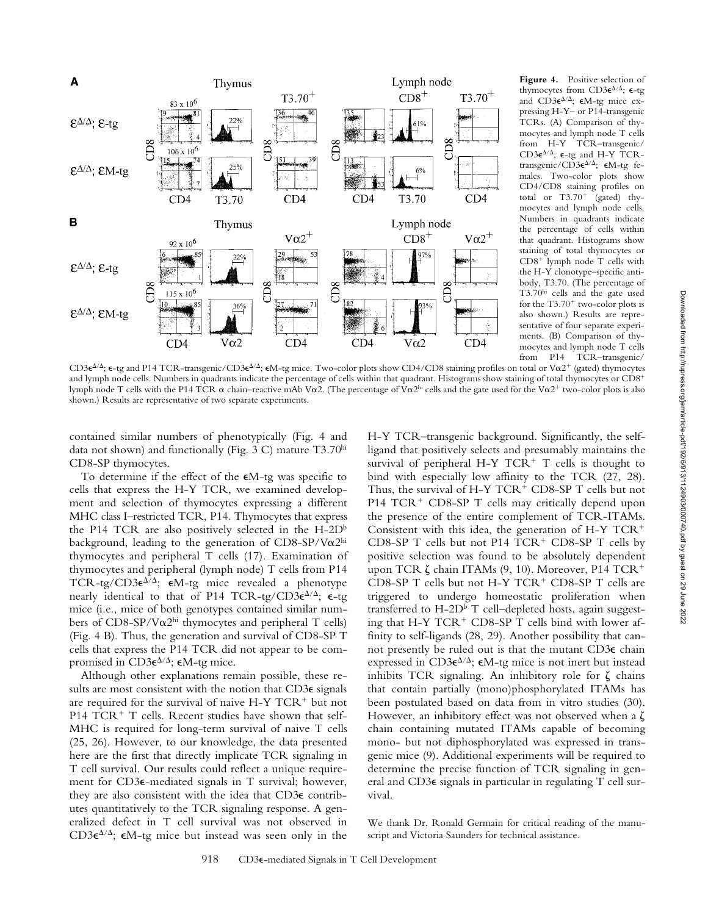

**Figure 4.** Positive selection of thymocytes from CD3 $\varepsilon^{\Delta/\Delta}$ ;  $\varepsilon$ -tg and  $CD3\varepsilon^{\Delta/\Delta}$ ;  $\varepsilon M$ -tg mice expressing H-Y– or P14-transgenic TCRs. (A) Comparison of thymocytes and lymph node T cells from H-Y TCR–transgenic/  $\mathsf{CD3}\varepsilon^{\Delta/\Delta};$   $\mathsf{\varepsilon}\mathsf{-tg}$  and H-Y TCRtransgenic/CD3 $\epsilon^{\Delta/\Delta}$ ;  $\epsilon$ M-tg females. Two-color plots show CD4/CD8 staining profiles on total or  $T3.70^{+}$  (gated) thymocytes and lymph node cells. Numbers in quadrants indicate the percentage of cells within that quadrant. Histograms show staining of total thymocytes or  $CD8<sup>+</sup>$  lymph node T cells with the H-Y clonotype–specific antibody, T3.70. (The percentage of T3.70hi cells and the gate used for the  $T3.70^+$  two-color plots is also shown.) Results are representative of four separate experiments. (B) Comparison of thymocytes and lymph node T cells from P14 TCR–transgenic/

CD3 $e^{\Delta/\Delta}$ ;  $\epsilon$ -tg and P14 TCR-transgenic/CD3 $\epsilon^{\Delta/\Delta}$ ;  $\epsilon$ M-tg mice. Two-color plots show CD4/CD8 staining profiles on total or V $\alpha$ 2<sup>+</sup> (gated) thymocytes and lymph node cells. Numbers in quadrants indicate the percentage of cells within that quadrant. Histograms show staining of total thymocytes or CD8<sup>+</sup> lymph node T cells with the P14 TCR  $\alpha$  chain–reactive mAb V $\alpha$ 2. (The percentage of V $\alpha$ 2<sup>hi</sup> cells and the gate used for the V $\alpha$ 2<sup>+</sup> two-color plots is also shown.) Results are representative of two separate experiments.

contained similar numbers of phenotypically (Fig. 4 and data not shown) and functionally (Fig. 3 C) mature T3.70hi CD8-SP thymocytes.

To determine if the effect of the  $\epsilon M$ -tg was specific to cells that express the H-Y TCR, we examined development and selection of thymocytes expressing a different MHC class I–restricted TCR, P14. Thymocytes that express the P14 TCR are also positively selected in the  $H$ -2D<sup>b</sup> background, leading to the generation of CD8-SP/V $\alpha$ 2hi thymocytes and peripheral T cells (17). Examination of thymocytes and peripheral (lymph node) T cells from P14 TCR-tg/CD3 $\epsilon^{\Delta/\Delta}$ ;  $\epsilon M$ -tg mice revealed a phenotype nearly identical to that of P14 TCR-tg/CD3 $\epsilon^{\Delta/\Delta}$ ;  $\epsilon$ -tg mice (i.e., mice of both genotypes contained similar numbers of CD8-SP/V $\alpha$ 2<sup>hi</sup> thymocytes and peripheral T cells) (Fig. 4 B). Thus, the generation and survival of CD8-SP T cells that express the P14 TCR did not appear to be compromised in  $CD3\varepsilon^{\Delta/\Delta}$ ;  $\varepsilon M$ -tg mice.

Although other explanations remain possible, these results are most consistent with the notion that CD3 $\epsilon$  signals are required for the survival of naive  $H-Y TCR^+$  but not P14  $TCR<sup>+</sup>$  T cells. Recent studies have shown that self-MHC is required for long-term survival of naive T cells (25, 26). However, to our knowledge, the data presented here are the first that directly implicate TCR signaling in T cell survival. Our results could reflect a unique requirement for CD3e-mediated signals in T survival; however, they are also consistent with the idea that CD3e contributes quantitatively to the TCR signaling response. A generalized defect in T cell survival was not observed in  $CD3\varepsilon^{\Delta/\Delta}$ ;  $\varepsilon M$ -tg mice but instead was seen only in the

H-Y TCR–transgenic background. Significantly, the selfligand that positively selects and presumably maintains the survival of peripheral H-Y  $TCR+T$  cells is thought to bind with especially low affinity to the TCR (27, 28). Thus, the survival of H-Y  $TCR^+$  CD8-SP T cells but not  $P14 TCR<sup>+</sup> CDS-SP T cells may critically depend upon$ the presence of the entire complement of TCR-ITAMs. Consistent with this idea, the generation of  $H-Y TCR^+$ CD8-SP T cells but not P14  $TCR<sup>+</sup>$  CD8-SP T cells by positive selection was found to be absolutely dependent upon TCR  $\zeta$  chain ITAMs (9, 10). Moreover, P14 TCR<sup>+</sup> CD8-SP T cells but not H-Y  $TCR<sup>+</sup>$  CD8-SP T cells are triggered to undergo homeostatic proliferation when transferred to H-2D<sup>b</sup> T cell-depleted hosts, again suggesting that H-Y  $TCR<sup>+</sup> CD8-SP T$  cells bind with lower affinity to self-ligands (28, 29). Another possibility that cannot presently be ruled out is that the mutant CD3e chain expressed in  $CD3\varepsilon^{\Delta/\Delta}$ ;  $\varepsilon M$ -tg mice is not inert but instead inhibits TCR signaling. An inhibitory role for  $\zeta$  chains that contain partially (mono)phosphorylated ITAMs has been postulated based on data from in vitro studies (30). However, an inhibitory effect was not observed when a  $\zeta$ chain containing mutated ITAMs capable of becoming mono- but not diphosphorylated was expressed in transgenic mice (9). Additional experiments will be required to determine the precise function of TCR signaling in general and CD3e signals in particular in regulating T cell survival.

We thank Dr. Ronald Germain for critical reading of the manuscript and Victoria Saunders for technical assistance.